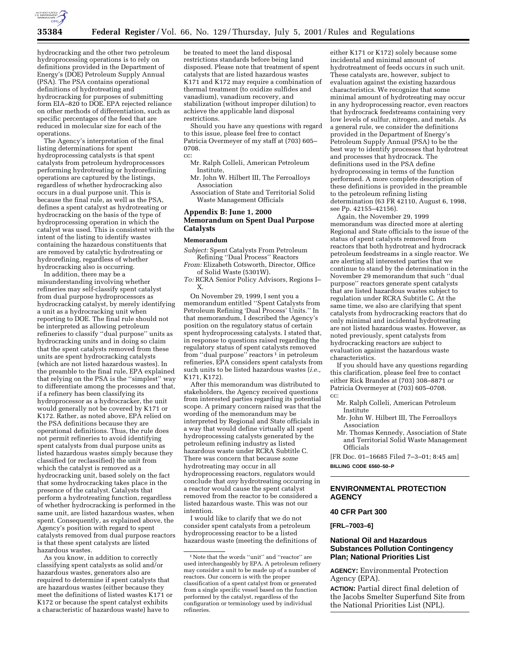

hydrocracking and the other two petroleum hydroprocessing operations is to rely on definitions provided in the Department of Energy's (DOE) Petroleum Supply Annual (PSA). The PSA contains operational definitions of hydrotreating and hydrocracking for purposes of submitting form EIA–820 to DOE. EPA rejected reliance on other methods of differentiation, such as specific percentages of the feed that are reduced in molecular size for each of the operations.

The Agency's interpretation of the final listing determinations for spent hydroprocessing catalysts is that spent catalysts from petroleum hydroprocessors performing hydrotreating or hydrorefining operations are captured by the listings, regardless of whether hydrocracking also occurs in a dual purpose unit. This is because the final rule, as well as the PSA, defines a spent catalyst as hydrotreating or hydrocracking on the basis of the type of hydroprocessing operation in which the catalyst was used. This is consistent with the intent of the listing to identify wastes containing the hazardous constituents that are removed by catalytic hydrotreating or hydrorefining, regardless of whether hydrocracking also is occurring.

In addition, there may be a misunderstanding involving whether refineries may self-classify spent catalyst from dual purpose hydroprocessors as hydrocracking catalyst, by merely identifying a unit as a hydrocracking unit when reporting to DOE. The final rule should not be interpreted as allowing petroleum refineries to classify ''dual purpose'' units as hydrocracking units and in doing so claim that the spent catalysts removed from these units are spent hydrocracking catalysts (which are not listed hazardous wastes). In the preamble to the final rule, EPA explained that relying on the PSA is the ''simplest'' way to differentiate among the processes and that, if a refinery has been classifying its hydroprocessor as a hydrocracker, the unit would generally not be covered by K171 or K172. Rather, as noted above, EPA relied on the PSA definitions because they are operational definitions. Thus, the rule does not permit refineries to avoid identifying spent catalysts from dual purpose units as listed hazardous wastes simply because they classified (or reclassified) the unit from which the catalyst is removed as a hydrocracking unit, based solely on the fact that some hydrocracking takes place in the presence of the catalyst. Catalysts that perform a hydrotreating function, regardless of whether hydrocracking is performed in the same unit, are listed hazardous wastes, when spent. Consequently, as explained above, the Agency's position with regard to spent catalysts removed from dual purpose reactors is that these spent catalysts are listed hazardous wastes.

As you know, in addition to correctly classifying spent catalysts as solid and/or hazardous wastes, generators also are required to determine if spent catalysts that are hazardous wastes (either because they meet the definitions of listed wastes K171 or K172 or because the spent catalyst exhibits a characteristic of hazardous waste) have to

be treated to meet the land disposal restrictions standards before being land disposed. Please note that treatment of spent catalysts that are listed hazardous wastes K171 and K172 may require a combination of thermal treatment (to oxidize sulfides and vanadium), vanadium recovery, and stabilization (without improper dilution) to achieve the applicable land disposal restrictions.

Should you have any questions with regard to this issue, please feel free to contact Patricia Overmeyer of my staff at (703) 605– 0708.

cc:

- Mr. Ralph Colleli, American Petroleum Institute,
- Mr. John W. Hilbert III, The Ferroalloys Association
- Association of State and Territorial Solid Waste Management Officials

# **Appendix B: June 1, 2000 Memorandum on Spent Dual Purpose Catalysts**

### **Memorandum**

*Subject:* Spent Catalysts From Petroleum Refining ''Dual Process'' Reactors

*From:* Elizabeth Cotsworth, Director, Office of Solid Waste (5301W).

*To:* RCRA Senior Policy Advisors, Regions I– X.

On November 29, 1999, I sent you a memorandum entitled ''Spent Catalysts from Petroleum Refining 'Dual Process' Units.'' In that memorandum, I described the Agency's position on the regulatory status of certain spent hydroprocessing catalysts. I stated that, in response to questions raised regarding the regulatory status of spent catalysts removed from "dual purpose" reactors<sup>1</sup> in petroleum refineries, EPA considers spent catalysts from such units to be listed hazardous wastes (*i.e.,* K171, K172).

After this memorandum was distributed to stakeholders, the Agency received questions from interested parties regarding its potential scope. A primary concern raised was that the wording of the memorandum may be interpreted by Regional and State officials in a way that would define virtually all spent hydroprocessing catalysts generated by the petroleum refining industry as listed hazardous waste under RCRA Subtitle C. There was concern that because *some* hydrotreating may occur in all hydroprocessing reactors, regulators would conclude that *any* hydrotreating occurring in a reactor would cause the spent catalyst removed from the reactor to be considered a listed hazardous waste. This was not our intention.

I would like to clarify that we do not consider spent catalysts from a petroleum hydroprocessing reactor to be a listed hazardous waste (meeting the definitions of

either K171 or K172) solely because some incidental and minimal amount of hydrotreatment of feeds occurs in such unit. These catalysts are, however, subject to evaluation against the existing hazardous characteristics. We recognize that some minimal amount of hydrotreating may occur in any hydroprocessing reactor, even reactors that hydrocrack feedstreams containing very low levels of sulfur, nitrogen, and metals. As a general rule, we consider the definitions provided in the Department of Energy's Petroleum Supply Annual (PSA) to be the best way to identify processes that hydrotreat and processes that hydrocrack. The definitions used in the PSA define hydroprocessing in terms of the function performed. A more complete description of these definitions is provided in the preamble to the petroleum refining listing determination (63 FR 42110, August 6, 1998, see Pp. 42155–42156).

Again, the November 29, 1999 memorandum was directed more at alerting Regional and State officials to the issue of the status of spent catalysts removed from reactors that both hydrotreat and hydrocrack petroleum feedstreams in a single reactor. We are alerting all interested parties that we continue to stand by the determination in the November 29 memorandum that such ''dual purpose'' reactors generate spent catalysts that are listed hazardous wastes subject to regulation under RCRA Subtitle C. At the same time, we also are clarifying that spent catalysts from hydrocracking reactors that do only minimal and incidental hydrotreating are not listed hazardous wastes. However, as noted previously, spent catalysts from hydrocracking reactors are subject to evaluation against the hazardous waste characteristics.

If you should have any questions regarding this clarification, please feel free to contact either Rick Brandes at (703) 308–8871 or Patricia Overmeyer at (703) 605–0708. cc:

Mr. Ralph Colleli, American Petroleum Institute

- Mr. John W. Hilbert III, The Ferroalloys Association
- Mr. Thomas Kennedy, Association of State and Territorial Solid Waste Management Officials

[FR Doc. 01–16685 Filed 7–3–01; 8:45 am] **BILLING CODE 6560–50–P**

# **ENVIRONMENTAL PROTECTION AGENCY**

# **40 CFR Part 300**

**[FRL–7003–6]**

# **National Oil and Hazardous Substances Pollution Contingency Plan; National Priorities List**

**AGENCY:** Environmental Protection Agency (EPA).

**ACTION:** Partial direct final deletion of the Jacobs Smelter Superfund Site from the National Priorities List (NPL).

 $^{\rm 1}\!$  Note that the words ''unit'' and ''reactor'' are used interchangeably by EPA. A petroleum refinery may consider a unit to be made up of a number of reactors. Our concern is with the proper classification of a spent catalyst from or generated from a single specific vessel based on the function performed by the catalyst, regardless of the configuration or terminology used by individual refineries.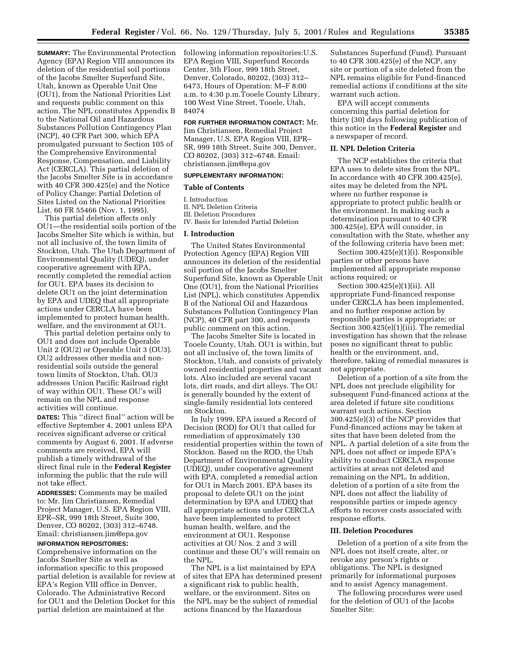**SUMMARY:** The Environmental Protection Agency (EPA) Region VIII announces its deletion of the residential soil portions of the Jacobs Smelter Superfund Site, Utah, known as Operable Unit One (OU1), from the National Priorities List and requests public comment on this action. The NPL constitutes Appendix B to the National Oil and Hazardous Substances Pollution Contingency Plan (NCP), 40 CFR Part 300, which EPA promulgated pursuant to Section 105 of the Comprehensive Environmental Response, Compensation, and Liability Act (CERCLA). This partial deletion of the Jacobs Smelter Site is in accordance with 40 CFR 300.425(e) and the Notice of Policy Change: Partial Deletion of Sites Listed on the National Priorities List. 60 FR 55466 (Nov. 1, 1995).

This partial deletion affects only OU1—the residential soils portion of the Jacobs Smelter Site which is within, but not all inclusive of, the town limits of Stockton, Utah. The Utah Department of Environmental Quality (UDEQ), under cooperative agreement with EPA, recently completed the remedial action for OU1. EPA bases its decision to delete OU1 on the joint determination by EPA and UDEQ that all appropriate actions under CERCLA have been implemented to protect human health, welfare, and the environment at OU1.

This partial deletion pertains only to OU1 and does not include Operable Unit 2 (OU2) or Operable Unit 3 (OU3). OU2 addresses other media and nonresidential soils outside the general town limits of Stockton, Utah. OU3 addresses Union Pacific Railroad right of way within OU1. These OU's will remain on the NPL and response activities will continue.

**DATES:** This ''direct final'' action will be effective September 4, 2001 unless EPA receives significant adverse or critical comments by August 6, 2001. If adverse comments are received, EPA will publish a timely withdrawal of the direct final rule in the **Federal Register** informing the public that the rule will not take effect.

**ADDRESSES:** Comments may be mailed to: Mr. Jim Christiansen, Remedial Project Manager, U.S. EPA Region VIII, EPR–SR, 999 18th Street, Suite 300, Denver, CO 80202, (303) 312–6748. Email: christiansen.jim@epa.gov

### **INFORMATION REPOSITORIES:**

Comprehensive information on the Jacobs Smelter Site as well as information specific to this proposed partial deletion is available for review at EPA's Region VIII office in Denver, Colorado. The Administrative Record for OU1 and the Deletion Docket for this partial deletion are maintained at the

following information repositories:U.S. EPA Region VIII, Superfund Records Center, 5th Floor, 999 18th Street, Denver, Colorado, 80202, (303) 312– 6473, Hours of Operation: M–F 8:00 a.m. to 4:30 p.m.Tooele County Library, 100 West Vine Street, Tooele, Utah, 84074

### **FOR FURTHER INFORMATION CONTACT:** Mr.

Jim Christiansen, Remedial Project Manager, U.S. EPA Region VIII, EPR– SR, 999 18th Street, Suite 300, Denver, CO 80202, (303) 312–6748. Email: christiansen.jim@epa.gov

#### **SUPPLEMENTARY INFORMATION:**

#### **Table of Contents**

I. Introduction

II. NPL Deletion Criteria III. Deletion Procedures IV. Basis for Intended Partial Deletion

#### **I. Introduction**

The United States Environmental Protection Agency (EPA) Region VIII announces its deletion of the residential soil portion of the Jacobs Smelter Superfund Site, known as Operable Unit One (OU1), from the National Priorities List (NPL), which constitutes Appendix B of the National Oil and Hazardous Substances Pollution Contingency Plan (NCP), 40 CFR part 300, and requests public comment on this action.

The Jacobs Smelter Site is located in Tooele County, Utah. OU1 is within, but not all inclusive of, the town limits of Stockton, Utah, and consists of privately owned residential properties and vacant lots. Also included are several vacant lots, dirt roads, and dirt alleys. The OU is generally bounded by the extent of single-family residential lots centered on Stockton.

In July 1999, EPA issued a Record of Decision (ROD) for OU1 that called for remediation of approximately 130 residential properties within the town of Stockton. Based on the ROD, the Utah Department of Environmental Quality (UDEQ), under cooperative agreement with EPA, completed a remedial action for OU1 in March 2001. EPA bases its proposal to delete OU1 on the joint determination by EPA and UDEQ that all appropriate actions under CERCLA have been implemented to protect human health, welfare, and the environment at OU1. Response activities at OU Nos. 2 and 3 will continue and these OU's will remain on the NPL.

The NPL is a list maintained by EPA of sites that EPA has determined present a significant risk to public health, welfare, or the environment. Sites on the NPL may be the subject of remedial actions financed by the Hazardous

Substances Superfund (Fund). Pursuant to 40 CFR 300.425(e) of the NCP, any site or portion of a site deleted from the NPL remains eligible for Fund-financed remedial actions if conditions at the site warrant such action.

EPA will accept comments concerning this partial deletion for thirty (30) days following publication of this notice in the **Federal Register** and a newspaper of record.

## **II. NPL Deletion Criteria**

The NCP establishes the criteria that EPA uses to delete sites from the NPL. In accordance with 40 CFR 300.425(e), sites may be deleted from the NPL where no further response is appropriate to protect public health or the environment. In making such a determination pursuant to 40 CFR 300.425(e), EPA will consider, in consultation with the State, whether any of the following criteria have been met:

Section 300.425(e)(1)(i). Responsible parties or other persons have implemented all appropriate response actions required; or

Section 300.425(e)(1)(ii). All appropriate Fund-financed response under CERCLA has been implemented, and no further response action by responsible parties is appropriate; or Section 300.425(e)(1)(iii). The remedial investigation has shown that the release poses no significant threat to public health or the environment, and, therefore, taking of remedial measures is not appropriate.

Deletion of a portion of a site from the NPL does not preclude eligibility for subsequent Fund-financed actions at the area deleted if future site conditions warrant such actions. Section 300.425(e)(3) of the NCP provides that Fund-financed actions may be taken at sites that have been deleted from the NPL. A partial deletion of a site from the NPL does not affect or impede EPA's ability to conduct CERCLA response activities at areas not deleted and remaining on the NPL. In addition, deletion of a portion of a site from the NPL does not affect the liability of responsible parties or impede agency efforts to recover costs associated with response efforts.

#### **III. Deletion Procedures**

Deletion of a portion of a site from the NPL does not itself create, alter, or revoke any person's rights or obligations. The NPL is designed primarily for informational purposes and to assist Agency management.

The following procedures were used for the deletion of OU1 of the Jacobs Smelter Site: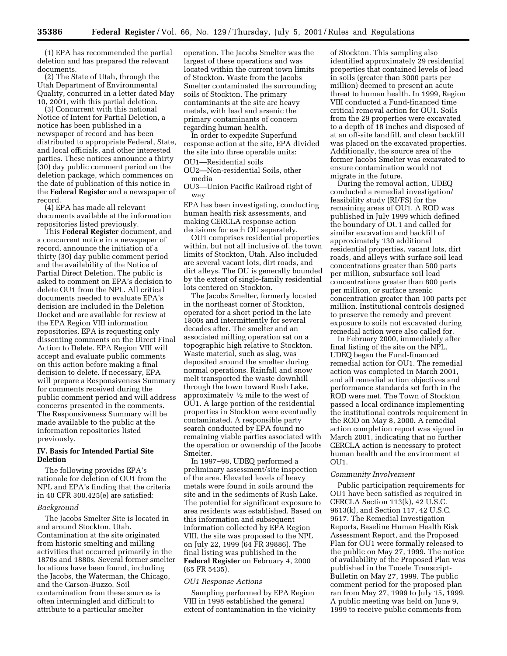(1) EPA has recommended the partial deletion and has prepared the relevant documents.

(2) The State of Utah, through the Utah Department of Environmental Quality, concurred in a letter dated May 10, 2001, with this partial deletion.

(3) Concurrent with this national Notice of Intent for Partial Deletion, a notice has been published in a newspaper of record and has been distributed to appropriate Federal, State, and local officials, and other interested parties. These notices announce a thirty (30) day public comment period on the deletion package, which commences on the date of publication of this notice in the **Federal Register** and a newspaper of record.

(4) EPA has made all relevant documents available at the information repositories listed previously.

This **Federal Register** document, and a concurrent notice in a newspaper of record, announce the initiation of a thirty (30) day public comment period and the availability of the Notice of Partial Direct Deletion. The public is asked to comment on EPA's decision to delete OU1 from the NPL. All critical documents needed to evaluate EPA's decision are included in the Deletion Docket and are available for review at the EPA Region VIII information repositories. EPA is requesting only dissenting comments on the Direct Final Action to Delete. EPA Region VIII will accept and evaluate public comments on this action before making a final decision to delete. If necessary, EPA will prepare a Responsiveness Summary for comments received during the public comment period and will address concerns presented in the comments. The Responsiveness Summary will be made available to the public at the information repositories listed previously.

# **IV. Basis for Intended Partial Site Deletion**

The following provides EPA's rationale for deletion of OU1 from the NPL and EPA's finding that the criteria in 40 CFR 300.425(e) are satisfied:

#### *Background*

The Jacobs Smelter Site is located in and around Stockton, Utah. Contamination at the site originated from historic smelting and milling activities that occurred primarily in the 1870s and 1880s. Several former smelter locations have been found, including the Jacobs, the Waterman, the Chicago, and the Carson-Buzzo. Soil contamination from these sources is often intermingled and difficult to attribute to a particular smelter

operation. The Jacobs Smelter was the largest of these operations and was located within the current town limits of Stockton. Waste from the Jacobs Smelter contaminated the surrounding soils of Stockton. The primary contaminants at the site are heavy metals, with lead and arsenic the primary contaminants of concern regarding human health.

In order to expedite Superfund response action at the site, EPA divided the site into three operable units:

OU1—Residential soils OU2—Non-residential Soils, other media

OU3—Union Pacific Railroad right of way

EPA has been investigating, conducting human health risk assessments, and making CERCLA response action decisions for each OU separately.

OU1 comprises residential properties within, but not all inclusive of, the town limits of Stockton, Utah. Also included are several vacant lots, dirt roads, and dirt alleys. The OU is generally bounded by the extent of single-family residential lots centered on Stockton.

The Jacobs Smelter, formerly located in the northeast corner of Stockton, operated for a short period in the late 1800s and intermittently for several decades after. The smelter and an associated milling operation sat on a topographic high relative to Stockton. Waste material, such as slag, was deposited around the smelter during normal operations. Rainfall and snow melt transported the waste downhill through the town toward Rush Lake, approximately  $\frac{1}{2}$  mile to the west of OU1. A large portion of the residential properties in Stockton were eventually contaminated. A responsible party search conducted by EPA found no remaining viable parties associated with the operation or ownership of the Jacobs Smelter.

In 1997–98, UDEQ performed a preliminary assessment/site inspection of the area. Elevated levels of heavy metals were found in soils around the site and in the sediments of Rush Lake. The potential for significant exposure to area residents was established. Based on this information and subsequent information collected by EPA Region VIII, the site was proposed to the NPL on July 22, 1999 (64 FR 39886). The final listing was published in the **Federal Register** on February 4, 2000 (65 FR 5435).

#### *OU1 Response Actions*

Sampling performed by EPA Region VIII in 1998 established the general extent of contamination in the vicinity

of Stockton. This sampling also identified approximately 29 residential properties that contained levels of lead in soils (greater than 3000 parts per million) deemed to present an acute threat to human health. In 1999, Region VIII conducted a Fund-financed time critical removal action for OU1. Soils from the 29 properties were excavated to a depth of 18 inches and disposed of at an off-site landfill, and clean backfill was placed on the excavated properties. Additionally, the source area of the former Jacobs Smelter was excavated to ensure contamination would not migrate in the future.

During the removal action, UDEQ conducted a remedial investigation/ feasibility study (RI/FS) for the remaining areas of OU1. A ROD was published in July 1999 which defined the boundary of OU1 and called for similar excavation and backfill of approximately 130 additional residential properties, vacant lots, dirt roads, and alleys with surface soil lead concentrations greater than 500 parts per million, subsurface soil lead concentrations greater than 800 parts per million, or surface arsenic concentration greater than 100 parts per million. Institutional controls designed to preserve the remedy and prevent exposure to soils not excavated during remedial action were also called for.

In February 2000, immediately after final listing of the site on the NPL, UDEQ began the Fund-financed remedial action for OU1. The remedial action was completed in March 2001, and all remedial action objectives and performance standards set forth in the ROD were met. The Town of Stockton passed a local ordinance implementing the institutional controls requirement in the ROD on May 8, 2000. A remedial action completion report was signed in March 2001, indicating that no further CERCLA action is necessary to protect human health and the environment at  $O<sub>U11</sub>$ .

## *Community Involvement*

Public participation requirements for OU1 have been satisfied as required in CERCLA Section 113(k), 42 U.S.C. 9613(k), and Section 117, 42 U.S.C. 9617. The Remedial Investigation Reports, Baseline Human Health Risk Assessment Report, and the Proposed Plan for OU1 were formally released to the public on May 27, 1999. The notice of availability of the Proposed Plan was published in the Tooele Transcript-Bulletin on May 27, 1999. The public comment period for the proposed plan ran from May 27, 1999 to July 15, 1999. A public meeting was held on June 9, 1999 to receive public comments from